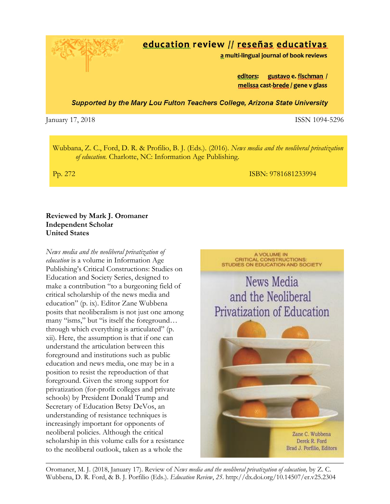education review // reseñas educativas

a multi-lingual journal of book reviews

editors: gustavo e. fischman / melissa cast-brede / gene v glass

**Supported by the Mary Lou Fulton Teachers College, Arizona State University** 

January 17, 2018 **ISSN** 1094-5296

Wubbana, Z. C., Ford, D. R. & Profilio, B. J. (Eds.). (2016). *News media and the neoliberal privatization of education.* Charlotte, NC: Information Age Publishing.

Pp. 272 **ISBN: 9781681233994** 

## **Reviewed by Mark J. Oromaner Independent Scholar United States**

*News media and the neoliberal privatization of education* is a volume in Information Age Publishing's Critical Constructions: Studies on Education and Society Series, designed to make a contribution "to a burgeoning field of critical scholarship of the news media and education" (p. ix). Editor Zane Wubbena posits that neoliberalism is not just one among many "isms," but "is itself the foreground… through which everything is articulated" (p. xii). Here, the assumption is that if one can understand the articulation between this foreground and institutions such as public education and news media, one may be in a position to resist the reproduction of that foreground. Given the strong support for privatization (for-profit colleges and private schools) by President Donald Trump and Secretary of Education Betsy DeVos, an understanding of resistance techniques is increasingly important for opponents of neoliberal policies. Although the critical scholarship in this volume calls for a resistance to the neoliberal outlook, taken as a whole the



Oromaner, M. J. (2018, January 17). Review of *News media and the neoliberal privatization of education,* by Z. C. Wubbena, D. R. Ford, & B. J. Porfilio (Eds.). *Education Review*, *25*. http://dx.doi.org/10.14507/er.v25.2304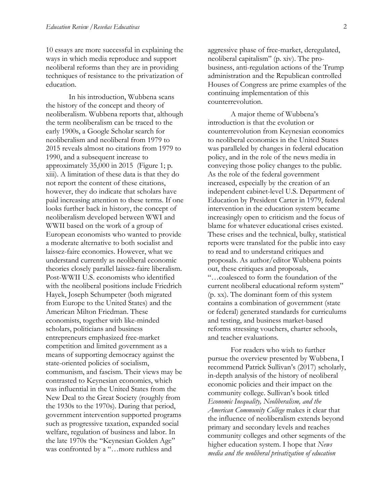10 essays are more successful in explaining the ways in which media reproduce and support neoliberal reforms than they are in providing techniques of resistance to the privatization of education.

In his introduction, Wubbena scans the history of the concept and theory of neoliberalism*.* Wubbena reports that, although the term neoliberalism can be traced to the early 1900s, a Google Scholar search for neoliberalism and neoliberal from 1979 to 2015 reveals almost no citations from 1979 to 1990, and a subsequent increase to approximately 35,000 in 2015 (Figure 1; p. xiii). A limitation of these data is that they do not report the content of these citations, however, they do indicate that scholars have paid increasing attention to these terms. If one looks further back in history, the concept of neoliberalism developed between WWI and WWII based on the work of a group of European economists who wanted to provide a moderate alternative to both socialist and laissez-faire economics. However, what we understand currently as neoliberal economic theories closely parallel laissez-faire liberalism. Post-WWII U.S. economists who identified with the neoliberal positions include Friedrich Hayek, Joseph Schumpeter (both migrated from Europe to the United States) and the American Milton Friedman. These economists, together with like-minded scholars, politicians and business entrepreneurs emphasized free-market competition and limited government as a means of supporting democracy against the state-oriented policies of socialism, communism, and fascism. Their views may be contrasted to Keynesian economics, which was influential in the United States from the New Deal to the Great Society (roughly from the 1930s to the 1970s). During that period, government intervention supported programs such as progressive taxation, expanded social welfare, regulation of business and labor. In the late 1970s the "Keynesian Golden Age" was confronted by a "…more ruthless and

aggressive phase of free-market, deregulated, neoliberal capitalism" (p. xiv). The probusiness, anti-regulation actions of the Trump administration and the Republican controlled Houses of Congress are prime examples of the continuing implementation of this counterrevolution.

A major theme of Wubbena's introduction is that the evolution or counterrevolution from Keynesian economics to neoliberal economics in the United States was paralleled by changes in federal education policy, and in the role of the news media in conveying those policy changes to the public. As the role of the federal government increased, especially by the creation of an independent cabinet-level U.S. Department of Education by President Carter in 1979, federal intervention in the education system became increasingly open to criticism and the focus of blame for whatever educational crises existed. These crises and the technical, bulky, statistical reports were translated for the public into easy to read and to understand critiques and proposals. As author/editor Wubbena points out, these critiques and proposals, "…coalesced to form the foundation of the current neoliberal educational reform system" (p. xx). The dominant form of this system contains a combination of government (state or federal) generated standards for curriculums and testing, and business market-based reforms stressing vouchers, charter schools, and teacher evaluations.

For readers who wish to further pursue the overview presented by Wubbena, I recommend Patrick Sullivan's (2017) scholarly, in-depth analysis of the history of neoliberal economic policies and their impact on the community college. Sullivan's book titled *Economic Inequality, Neoliberalism, and the American Community College* makes it clear that the influence of neoliberalism extends beyond primary and secondary levels and reaches community colleges and other segments of the higher education system. I hope that *News media and the neoliberal privatization of education*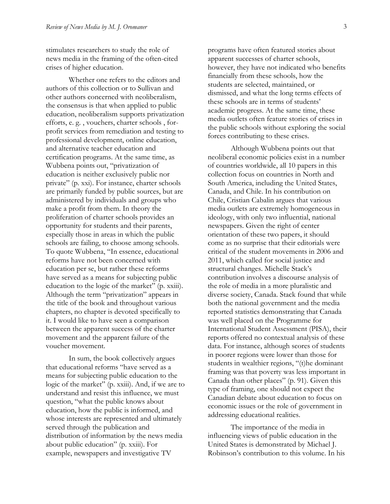stimulates researchers to study the role of news media in the framing of the often-cited crises of higher education.

Whether one refers to the editors and authors of this collection or to Sullivan and other authors concerned with neoliberalism, the consensus is that when applied to public education, neoliberalism supports privatization efforts, e. g. , vouchers, charter schools , forprofit services from remediation and testing to professional development, online education, and alternative teacher education and certification programs. At the same time, as Wubbena points out, "privatization of education is neither exclusively public nor private" (p. xxi). For instance, charter schools are primarily funded by public sources, but are administered by individuals and groups who make a profit from them. In theory the proliferation of charter schools provides an opportunity for students and their parents, especially those in areas in which the public schools are failing, to choose among schools. To quote Wubbena, "In essence, educational reforms have not been concerned with education per se, but rather these reforms have served as a means for subjecting public education to the logic of the market" (p. xxiii). Although the term "privatization" appears in the title of the book and throughout various chapters, no chapter is devoted specifically to it. I would like to have seen a comparison between the apparent success of the charter movement and the apparent failure of the voucher movement.

In sum, the book collectively argues that educational reforms "have served as a means for subjecting public education to the logic of the market" (p. xxiii). And, if we are to understand and resist this influence, we must question, "what the public knows about education, how the public is informed, and whose interests are represented and ultimately served through the publication and distribution of information by the news media about public education" (p. xxiii). For example, newspapers and investigative TV

programs have often featured stories about apparent successes of charter schools, however, they have not indicated who benefits financially from these schools, how the students are selected, maintained, or dismissed, and what the long terms effects of these schools are in terms of students' academic progress. At the same time, these media outlets often feature stories of crises in the public schools without exploring the social forces contributing to these crises.

Although Wubbena points out that neoliberal economic policies exist in a number of countries worldwide, all 10 papers in this collection focus on countries in North and South America, including the United States, Canada, and Chile. In his contribution on Chile, Cristian Cabalin argues that various media outlets are extremely homogeneous in ideology, with only two influential, national newspapers. Given the right of center orientation of these two papers, it should come as no surprise that their editorials were critical of the student movements in 2006 and 2011, which called for social justice and structural changes. Michelle Stack's contribution involves a discourse analysis of the role of media in a more pluralistic and diverse society, Canada. Stack found that while both the national government and the media reported statistics demonstrating that Canada was well placed on the Programme for International Student Assessment (PISA), their reports offered no contextual analysis of these data. For instance, although scores of students in poorer regions were lower than those for students in wealthier regions, "(t)he dominant framing was that poverty was less important in Canada than other places" (p. 91). Given this type of framing, one should not expect the Canadian debate about education to focus on economic issues or the role of government in addressing educational realities.

The importance of the media in influencing views of public education in the United States is demonstrated by Michael J. Robinson's contribution to this volume. In his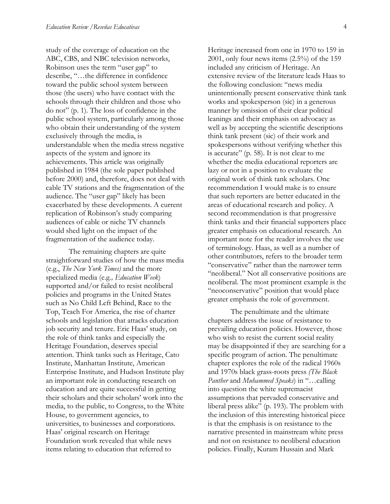study of the coverage of education on the ABC, CBS, and NBC television networks, Robinson uses the term "user gap" to describe, "…the difference in confidence toward the public school system between those (the users) who have contact with the schools through their children and those who do not" (p. 1). The loss of confidence in the public school system, particularly among those who obtain their understanding of the system exclusively through the media, is understandable when the media stress negative aspects of the system and ignore its achievements. This article was originally published in 1984 (the sole paper published before 2000) and, therefore, does not deal with cable TV stations and the fragmentation of the audience. The "user gap" likely has been exacerbated by these developments. A current replication of Robinson's study comparing audiences of cable or niche TV channels would shed light on the impact of the fragmentation of the audience today.

The remaining chapters are quite straightforward studies of how the mass media (e.g., *The New York Times)* and the more specialized media (e.g*., Education Week*) supported and/or failed to resist neoliberal policies and programs in the United States such as No Child Left Behind, Race to the Top, Teach For America, the rise of charter schools and legislation that attacks education job security and tenure. Eric Haas' study, on the role of think tanks and especially the Heritage Foundation, deserves special attention. Think tanks such as Heritage, Cato Institute, Manhattan Institute, American Enterprise Institute, and Hudson Institute play an important role in conducting research on education and are quite successful in getting their scholars and their scholars' work into the media, to the public, to Congress, to the White House, to government agencies, to universities, to businesses and corporations. Haas' original research on Heritage Foundation work revealed that while news items relating to education that referred to

Heritage increased from one in 1970 to 159 in 2001, only four news items (2.5%) of the 159 included any criticism of Heritage. An extensive review of the literature leads Haas to the following conclusion: "news media unintentionally present conservative think tank works and spokesperson (sic) in a generous manner by omission of their clear political leanings and their emphasis on advocacy as well as by accepting the scientific descriptions think tank present (sic) of their work and spokespersons without verifying whether this is accurate" (p. 58). It is not clear to me whether the media educational reporters are lazy or not in a position to evaluate the original work of think tank scholars. One recommendation I would make is to ensure that such reporters are better educated in the areas of educational research and policy. A second recommendation is that progressive think tanks and their financial supporters place greater emphasis on educational research. An important note for the reader involves the use of terminology. Haas, as well as a number of other contributors, refers to the broader term "conservative" rather than the narrower term "neoliberal." Not all conservative positions are neoliberal. The most prominent example is the "neoconservative" position that would place greater emphasis the role of government.

The penultimate and the ultimate chapters address the issue of resistance to prevailing education policies. However, those who wish to resist the current social reality may be disappointed if they are searching for a specific program of action. The penultimate chapter explores the role of the radical 1960s and 1970s black grass-roots press *(The Black Panther* and *Muhammed Speaks*) in "…calling into question the white supremacist assumptions that pervaded conservative and liberal press alike" (p. 193). The problem with the inclusion of this interesting historical piece is that the emphasis is on resistance to the narrative presented in mainstream white press and not on resistance to neoliberal education policies. Finally, Kuram Hussain and Mark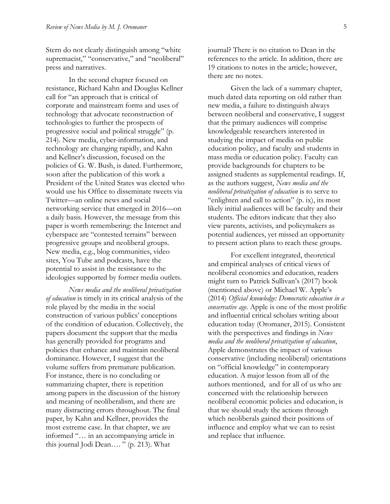Stern do not clearly distinguish among "white supremacist," "conservative," and "neoliberal" press and narratives.

In the second chapter focused on resistance, Richard Kahn and Douglas Kellner call for "an approach that is critical of corporate and mainstream forms and uses of technology that advocate reconstruction of technologies to further the prospects of progressive social and political struggle" (p. 214). New media, cyber-information, and technology are changing rapidly, and Kahn and Kellner's discussion, focused on the policies of G. W. Bush, is dated. Furthermore, soon after the publication of this work a President of the United States was elected who would use his Office to disseminate tweets via Twitter—an online news and social networking service that emerged in 2016—on a daily basis. However, the message from this paper is worth remembering: the Internet and cyberspace are "contested terrains" between progressive groups and neoliberal groups. New media, e.g., blog communities, video sites, You Tube and podcasts, have the potential to assist in the resistance to the ideologies supported by former media outlets.

*News media and the neoliberal privatization of education* is timely in its critical analysis of the role played by the media in the social construction of various publics' conceptions of the condition of education. Collectively, the papers document the support that the media has generally provided for programs and policies that enhance and maintain neoliberal dominance. However, I suggest that the volume suffers from premature publication. For instance, there is no concluding or summarizing chapter, there is repetition among papers in the discussion of the history and meaning of neoliberalism, and there are many distracting errors throughout. The final paper, by Kahn and Kellner, provides the most extreme case. In that chapter, we are informed "… in an accompanying article in this journal Jodi Dean…. " (p. 213). What

journal? There is no citation to Dean in the references to the article. In addition, there are 19 citations to notes in the article; however, there are no notes.

Given the lack of a summary chapter, much dated data reporting on old rather than new media, a failure to distinguish always between neoliberal and conservative, I suggest that the primary audiences will comprise knowledgeable researchers interested in studying the impact of media on public education policy, and faculty and students in mass media or education policy. Faculty can provide backgrounds for chapters to be assigned students as supplemental readings. If, as the authors suggest, *News media and the neoliberal privatization of education* is to serve to "enlighten and call to action" (p. ix), its most likely initial audiences will be faculty and their students. The editors indicate that they also view parents, activists, and policymakers as potential audiences, yet missed an opportunity to present action plans to reach these groups.

For excellent integrated, theoretical and empirical analyses of critical views of neoliberal economics and education, readers might turn to Patrick Sullivan's (2017) book (mentioned above) or Michael W. Apple's (2014) *Official knowledge: Democratic education in a conservative age.* Apple is one of the most prolific and influential critical scholars writing about education today (Oromaner, 2015). Consistent with the perspectives and findings in *News media and the neoliberal privatization of education*, Apple demonstrates the impact of various conservative (including neoliberal) orientations on "official knowledge" in contemporary education. A major lesson from all of the authors mentioned, and for all of us who are concerned with the relationship between neoliberal economic policies and education, is that we should study the actions through which neoliberals gained their positions of influence and employ what we can to resist and replace that influence.